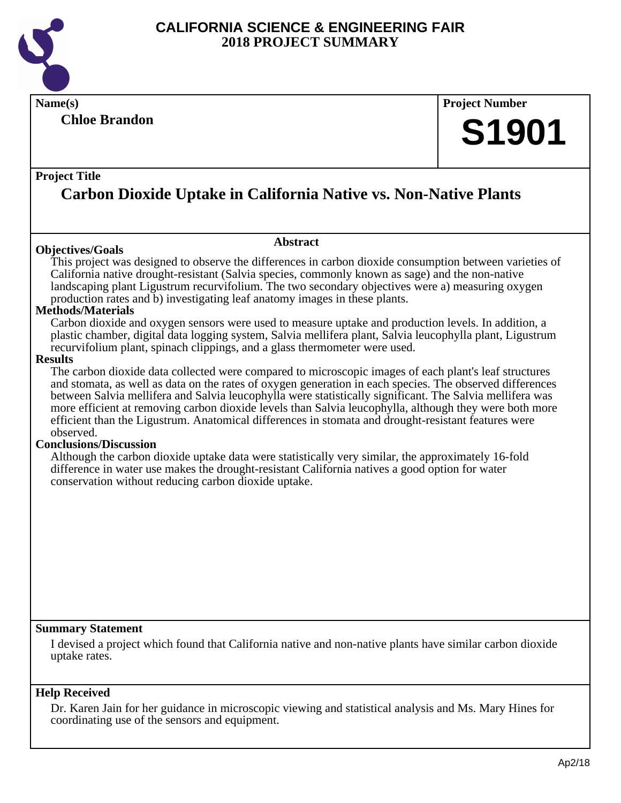

**Chloe Brandon**

# **Name(s) Project Number S1901**

#### **Project Title**

# **Carbon Dioxide Uptake in California Native vs. Non-Native Plants**

#### **Objectives/Goals**

This project was designed to observe the differences in carbon dioxide consumption between varieties of California native drought-resistant (Salvia species, commonly known as sage) and the non-native landscaping plant Ligustrum recurvifolium. The two secondary objectives were a) measuring oxygen

**Abstract**

production rates and b) investigating leaf anatomy images in these plants.

#### **Methods/Materials**

Carbon dioxide and oxygen sensors were used to measure uptake and production levels. In addition, a plastic chamber, digital data logging system, Salvia mellifera plant, Salvia leucophylla plant, Ligustrum recurvifolium plant, spinach clippings, and a glass thermometer were used.

#### **Results**

The carbon dioxide data collected were compared to microscopic images of each plant's leaf structures and stomata, as well as data on the rates of oxygen generation in each species. The observed differences between Salvia mellifera and Salvia leucophylla were statistically significant. The Salvia mellifera was more efficient at removing carbon dioxide levels than Salvia leucophylla, although they were both more efficient than the Ligustrum. Anatomical differences in stomata and drought-resistant features were observed.

#### **Conclusions/Discussion**

Although the carbon dioxide uptake data were statistically very similar, the approximately 16-fold difference in water use makes the drought-resistant California natives a good option for water conservation without reducing carbon dioxide uptake.

#### **Summary Statement**

I devised a project which found that California native and non-native plants have similar carbon dioxide uptake rates.

#### **Help Received**

Dr. Karen Jain for her guidance in microscopic viewing and statistical analysis and Ms. Mary Hines for coordinating use of the sensors and equipment.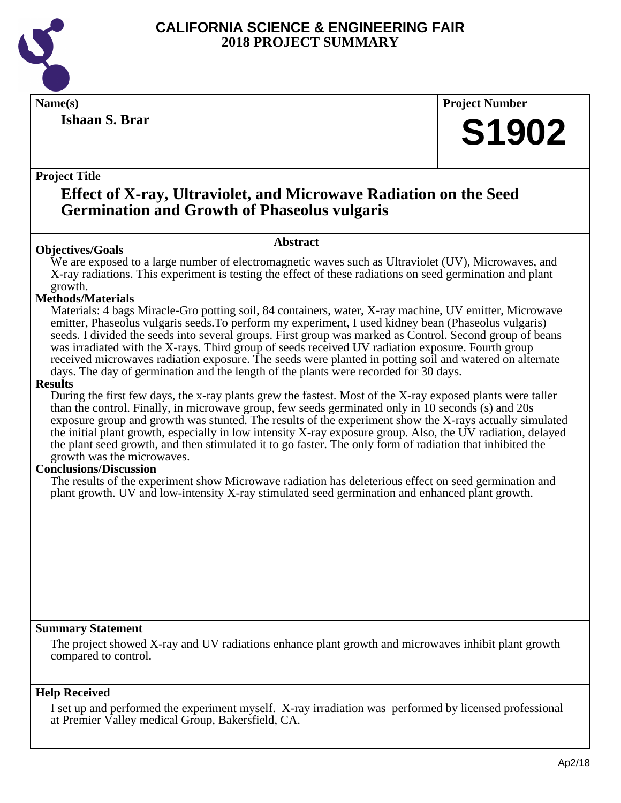

**Ishaan S. Brar**

**Name(s) Project Number**

# **S1902**

#### **Project Title**

### **Effect of X-ray, Ultraviolet, and Microwave Radiation on the Seed Germination and Growth of Phaseolus vulgaris**

#### **Abstract**

**Objectives/Goals** We are exposed to a large number of electromagnetic waves such as Ultraviolet (UV), Microwaves, and X-ray radiations. This experiment is testing the effect of these radiations on seed germination and plant growth.

#### **Methods/Materials**

Materials: 4 bags Miracle-Gro potting soil, 84 containers, water, X-ray machine, UV emitter, Microwave emitter, Phaseolus vulgaris seeds.To perform my experiment, I used kidney bean (Phaseolus vulgaris) seeds. I divided the seeds into several groups. First group was marked as Control. Second group of beans was irradiated with the X-rays. Third group of seeds received UV radiation exposure. Fourth group received microwaves radiation exposure. The seeds were planted in potting soil and watered on alternate days. The day of germination and the length of the plants were recorded for 30 days.

#### **Results**

During the first few days, the x-ray plants grew the fastest. Most of the X-ray exposed plants were taller than the control. Finally, in microwave group, few seeds germinated only in 10 seconds (s) and 20s exposure group and growth was stunted. The results of the experiment show the X-rays actually simulated the initial plant growth, especially in low intensity X-ray exposure group. Also, the UV radiation, delayed the plant seed growth, and then stimulated it to go faster. The only form of radiation that inhibited the growth was the microwaves.

#### **Conclusions/Discussion**

The results of the experiment show Microwave radiation has deleterious effect on seed germination and plant growth. UV and low-intensity X-ray stimulated seed germination and enhanced plant growth.

#### **Summary Statement**

The project showed X-ray and UV radiations enhance plant growth and microwaves inhibit plant growth compared to control.

#### **Help Received**

I set up and performed the experiment myself. X-ray irradiation was performed by licensed professional at Premier Valley medical Group, Bakersfield, CA.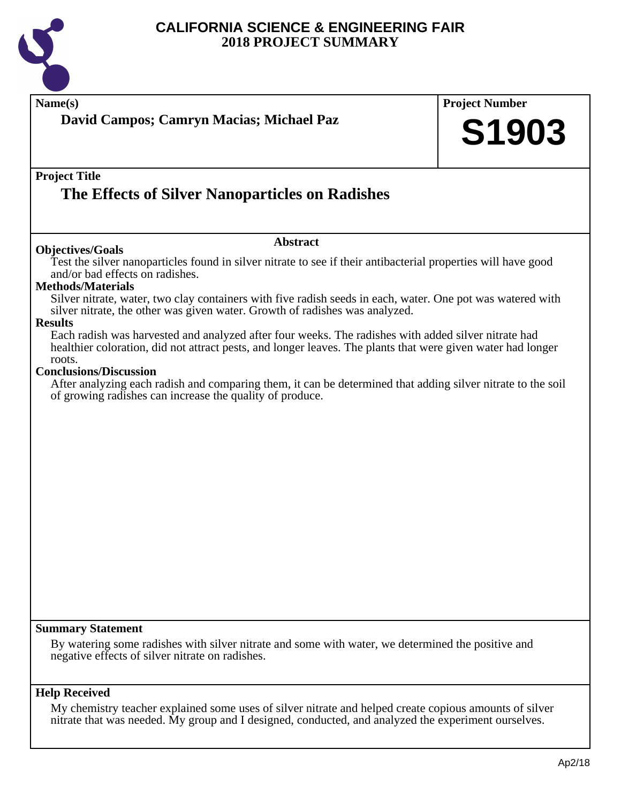

|                                                                                                                          | David Campos; Camryn Macias; Michael Paz                                                                                                                                                                                                                                                                                                                                                                                                                                                                                                                                                                                                                                                                    | <b>Project Number</b><br>S1903 |
|--------------------------------------------------------------------------------------------------------------------------|-------------------------------------------------------------------------------------------------------------------------------------------------------------------------------------------------------------------------------------------------------------------------------------------------------------------------------------------------------------------------------------------------------------------------------------------------------------------------------------------------------------------------------------------------------------------------------------------------------------------------------------------------------------------------------------------------------------|--------------------------------|
| <b>Project Title</b>                                                                                                     | The Effects of Silver Nanoparticles on Radishes                                                                                                                                                                                                                                                                                                                                                                                                                                                                                                                                                                                                                                                             |                                |
| <b>Objectives/Goals</b>                                                                                                  | <b>Abstract</b>                                                                                                                                                                                                                                                                                                                                                                                                                                                                                                                                                                                                                                                                                             |                                |
| and/or bad effects on radishes.<br><b>Methods/Materials</b><br><b>Results</b><br>roots.<br><b>Conclusions/Discussion</b> | Test the silver nanoparticles found in silver nitrate to see if their antibacterial properties will have good<br>Silver nitrate, water, two clay containers with five radish seeds in each, water. One pot was watered with<br>silver nitrate, the other was given water. Growth of radishes was analyzed.<br>Each radish was harvested and analyzed after four weeks. The radishes with added silver nitrate had<br>healthier coloration, did not attract pests, and longer leaves. The plants that were given water had longer<br>After analyzing each radish and comparing them, it can be determined that adding silver nitrate to the soil<br>of growing radishes can increase the quality of produce. |                                |
|                                                                                                                          |                                                                                                                                                                                                                                                                                                                                                                                                                                                                                                                                                                                                                                                                                                             |                                |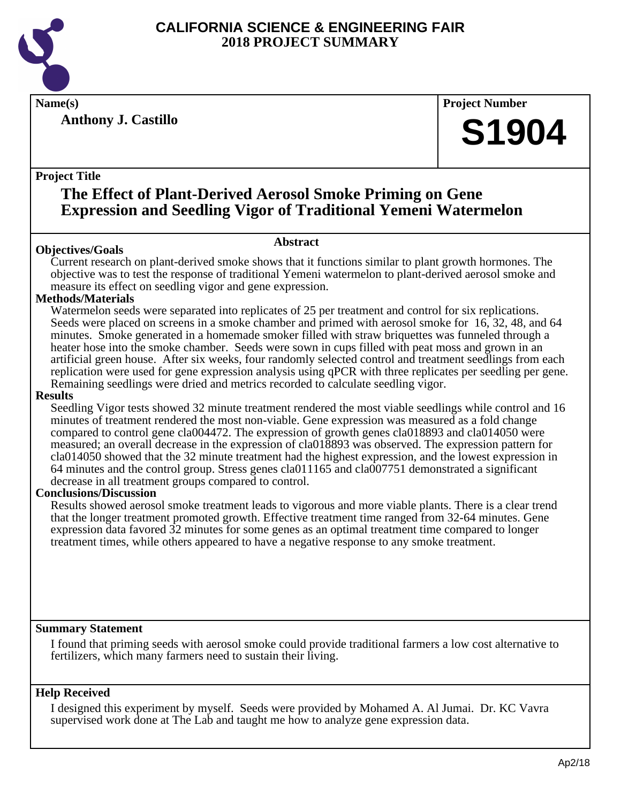

**Anthony J. Castillo**

#### **Name(s) Project Number**

# **S1904**

#### **Project Title**

# **The Effect of Plant-Derived Aerosol Smoke Priming on Gene Expression and Seedling Vigor of Traditional Yemeni Watermelon**

#### **Abstract**

**Objectives/Goals** Current research on plant-derived smoke shows that it functions similar to plant growth hormones. The objective was to test the response of traditional Yemeni watermelon to plant-derived aerosol smoke and measure its effect on seedling vigor and gene expression.

#### **Methods/Materials**

Watermelon seeds were separated into replicates of 25 per treatment and control for six replications. Seeds were placed on screens in a smoke chamber and primed with aerosol smoke for 16, 32, 48, and 64 minutes. Smoke generated in a homemade smoker filled with straw briquettes was funneled through a heater hose into the smoke chamber. Seeds were sown in cups filled with peat moss and grown in an artificial green house. After six weeks, four randomly selected control and treatment seedlings from each replication were used for gene expression analysis using qPCR with three replicates per seedling per gene. Remaining seedlings were dried and metrics recorded to calculate seedling vigor.

#### **Results**

Seedling Vigor tests showed 32 minute treatment rendered the most viable seedlings while control and 16 minutes of treatment rendered the most non-viable. Gene expression was measured as a fold change compared to control gene cla004472. The expression of growth genes cla018893 and cla014050 were measured; an overall decrease in the expression of cla018893 was observed. The expression pattern for cla014050 showed that the 32 minute treatment had the highest expression, and the lowest expression in 64 minutes and the control group. Stress genes cla011165 and cla007751 demonstrated a significant decrease in all treatment groups compared to control.

#### **Conclusions/Discussion**

Results showed aerosol smoke treatment leads to vigorous and more viable plants. There is a clear trend that the longer treatment promoted growth. Effective treatment time ranged from 32-64 minutes. Gene expression data favored 32 minutes for some genes as an optimal treatment time compared to longer treatment times, while others appeared to have a negative response to any smoke treatment.

#### **Summary Statement**

I found that priming seeds with aerosol smoke could provide traditional farmers a low cost alternative to fertilizers, which many farmers need to sustain their living.

#### **Help Received**

I designed this experiment by myself. Seeds were provided by Mohamed A. Al Jumai. Dr. KC Vavra supervised work done at The Lab and taught me how to analyze gene expression data.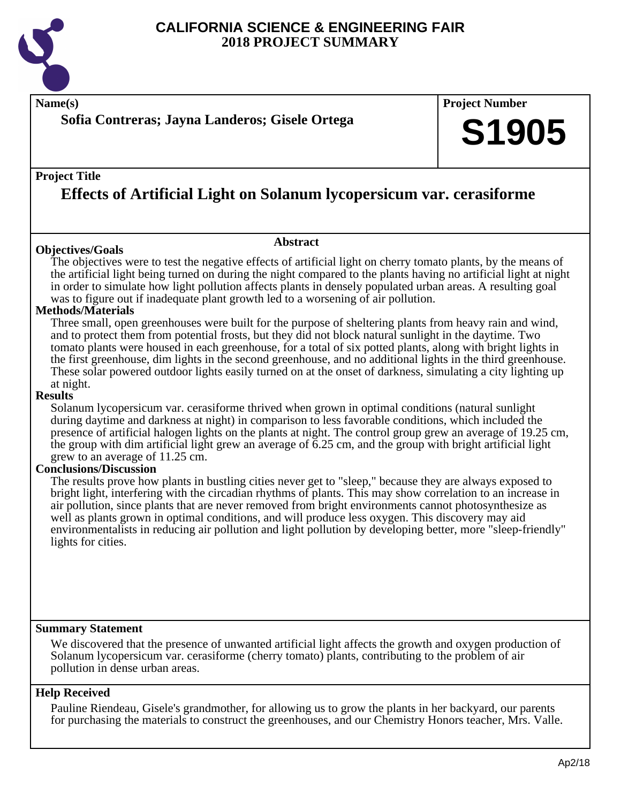

**Name(s) Project Number**

### **Sofia Contreras; Jayna Landeros; Gisele Ortega**

#### **Project Title**

# **Effects of Artificial Light on Solanum lycopersicum var. cerasiforme**

#### **Objectives/Goals**

**Abstract**

The objectives were to test the negative effects of artificial light on cherry tomato plants, by the means of the artificial light being turned on during the night compared to the plants having no artificial light at night in order to simulate how light pollution affects plants in densely populated urban areas. A resulting goal was to figure out if inadequate plant growth led to a worsening of air pollution.

#### **Methods/Materials**

Three small, open greenhouses were built for the purpose of sheltering plants from heavy rain and wind, and to protect them from potential frosts, but they did not block natural sunlight in the daytime. Two tomato plants were housed in each greenhouse, for a total of six potted plants, along with bright lights in the first greenhouse, dim lights in the second greenhouse, and no additional lights in the third greenhouse. These solar powered outdoor lights easily turned on at the onset of darkness, simulating a city lighting up at night.

#### **Results**

Solanum lycopersicum var. cerasiforme thrived when grown in optimal conditions (natural sunlight during daytime and darkness at night) in comparison to less favorable conditions, which included the presence of artificial halogen lights on the plants at night. The control group grew an average of 19.25 cm, the group with dim artificial light grew an average of 6.25 cm, and the group with bright artificial light grew to an average of 11.25 cm.

#### **Conclusions/Discussion**

The results prove how plants in bustling cities never get to "sleep," because they are always exposed to bright light, interfering with the circadian rhythms of plants. This may show correlation to an increase in air pollution, since plants that are never removed from bright environments cannot photosynthesize as well as plants grown in optimal conditions, and will produce less oxygen. This discovery may aid environmentalists in reducing air pollution and light pollution by developing better, more "sleep-friendly" lights for cities.

#### **Summary Statement**

We discovered that the presence of unwanted artificial light affects the growth and oxygen production of Solanum lycopersicum var. cerasiforme (cherry tomato) plants, contributing to the problem of air pollution in dense urban areas.

#### **Help Received**

Pauline Riendeau, Gisele's grandmother, for allowing us to grow the plants in her backyard, our parents for purchasing the materials to construct the greenhouses, and our Chemistry Honors teacher, Mrs. Valle.

**S1905**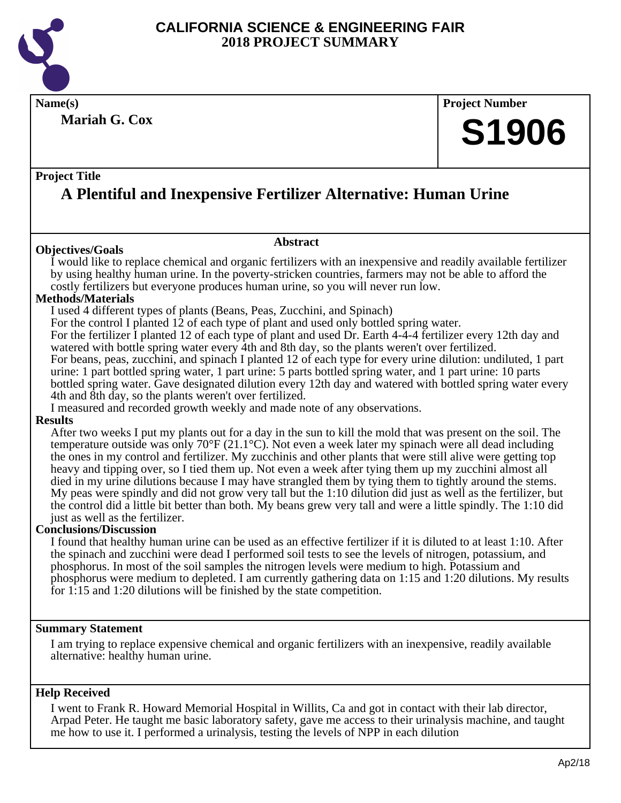

**Mariah G. Cox**

### **Name(s) Project Number**

# **S1906**

#### **Project Title**

# **A Plentiful and Inexpensive Fertilizer Alternative: Human Urine**

#### **Objectives/Goals**

#### **Abstract**

I would like to replace chemical and organic fertilizers with an inexpensive and readily available fertilizer by using healthy human urine. In the poverty-stricken countries, farmers may not be able to afford the costly fertilizers but everyone produces human urine, so you will never run low.

#### **Methods/Materials**

I used 4 different types of plants (Beans, Peas, Zucchini, and Spinach)

For the control I planted 12 of each type of plant and used only bottled spring water.

For the fertilizer I planted 12 of each type of plant and used Dr. Earth 4-4-4 fertilizer every 12th day and watered with bottle spring water every 4th and 8th day, so the plants weren't over fertilized.

For beans, peas, zucchini, and spinach I planted 12 of each type for every urine dilution: undiluted, 1 part urine: 1 part bottled spring water, 1 part urine: 5 parts bottled spring water, and 1 part urine: 10 parts bottled spring water. Gave designated dilution every 12th day and watered with bottled spring water every 4th and 8th day, so the plants weren't over fertilized.

I measured and recorded growth weekly and made note of any observations.

#### **Results**

After two weeks I put my plants out for a day in the sun to kill the mold that was present on the soil. The temperature outside was only 70°F (21.1°C). Not even a week later my spinach were all dead including the ones in my control and fertilizer. My zucchinis and other plants that were still alive were getting top heavy and tipping over, so I tied them up. Not even a week after tying them up my zucchini almost all died in my urine dilutions because I may have strangled them by tying them to tightly around the stems. My peas were spindly and did not grow very tall but the 1:10 dilution did just as well as the fertilizer, but the control did a little bit better than both. My beans grew very tall and were a little spindly. The 1:10 did just as well as the fertilizer.

#### **Conclusions/Discussion**

I found that healthy human urine can be used as an effective fertilizer if it is diluted to at least 1:10. After the spinach and zucchini were dead I performed soil tests to see the levels of nitrogen, potassium, and phosphorus. In most of the soil samples the nitrogen levels were medium to high. Potassium and phosphorus were medium to depleted. I am currently gathering data on 1:15 and 1:20 dilutions. My results for 1:15 and 1:20 dilutions will be finished by the state competition.

#### **Summary Statement**

I am trying to replace expensive chemical and organic fertilizers with an inexpensive, readily available alternative: healthy human urine.

#### **Help Received**

I went to Frank R. Howard Memorial Hospital in Willits, Ca and got in contact with their lab director, Arpad Peter. He taught me basic laboratory safety, gave me access to their urinalysis machine, and taught me how to use it. I performed a urinalysis, testing the levels of NPP in each dilution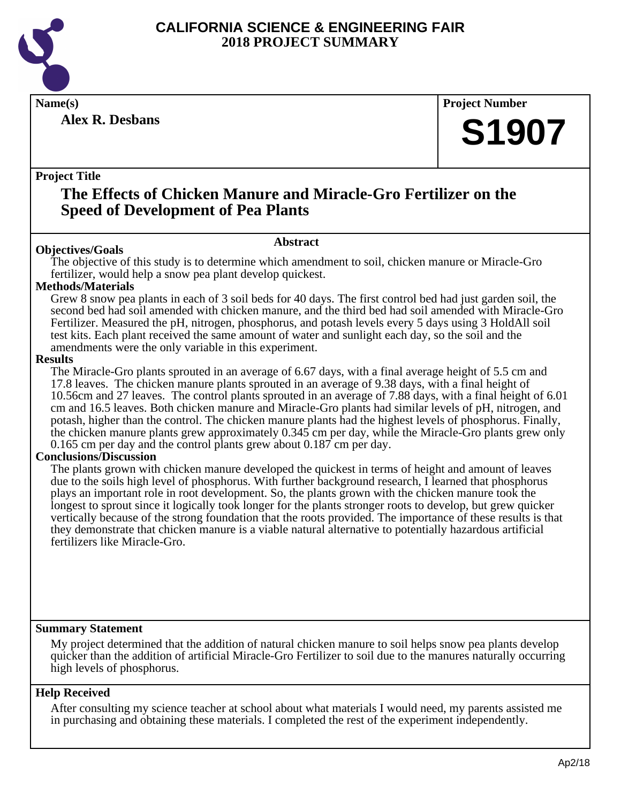

**Alex R. Desbans**

**Name(s) Project Number**

# **S1907**

#### **Project Title**

### **The Effects of Chicken Manure and Miracle-Gro Fertilizer on the Speed of Development of Pea Plants**

#### **Abstract**

**Objectives/Goals** The objective of this study is to determine which amendment to soil, chicken manure or Miracle-Gro fertilizer, would help a snow pea plant develop quickest.

#### **Methods/Materials**

Grew 8 snow pea plants in each of 3 soil beds for 40 days. The first control bed had just garden soil, the second bed had soil amended with chicken manure, and the third bed had soil amended with Miracle-Gro Fertilizer. Measured the pH, nitrogen, phosphorus, and potash levels every 5 days using 3 HoldAll soil test kits. Each plant received the same amount of water and sunlight each day, so the soil and the amendments were the only variable in this experiment.

#### **Results**

The Miracle-Gro plants sprouted in an average of 6.67 days, with a final average height of 5.5 cm and 17.8 leaves. The chicken manure plants sprouted in an average of 9.38 days, with a final height of 10.56cm and 27 leaves. The control plants sprouted in an average of 7.88 days, with a final height of 6.01 cm and 16.5 leaves. Both chicken manure and Miracle-Gro plants had similar levels of pH, nitrogen, and potash, higher than the control. The chicken manure plants had the highest levels of phosphorus. Finally, the chicken manure plants grew approximately 0.345 cm per day, while the Miracle-Gro plants grew only 0.165 cm per day and the control plants grew about 0.187 cm per day.

#### **Conclusions/Discussion**

The plants grown with chicken manure developed the quickest in terms of height and amount of leaves due to the soils high level of phosphorus. With further background research, I learned that phosphorus plays an important role in root development. So, the plants grown with the chicken manure took the longest to sprout since it logically took longer for the plants stronger roots to develop, but grew quicker vertically because of the strong foundation that the roots provided. The importance of these results is that they demonstrate that chicken manure is a viable natural alternative to potentially hazardous artificial fertilizers like Miracle-Gro.

#### **Summary Statement**

My project determined that the addition of natural chicken manure to soil helps snow pea plants develop quicker than the addition of artificial Miracle-Gro Fertilizer to soil due to the manures naturally occurring high levels of phosphorus.

#### **Help Received**

After consulting my science teacher at school about what materials I would need, my parents assisted me in purchasing and obtaining these materials. I completed the rest of the experiment independently.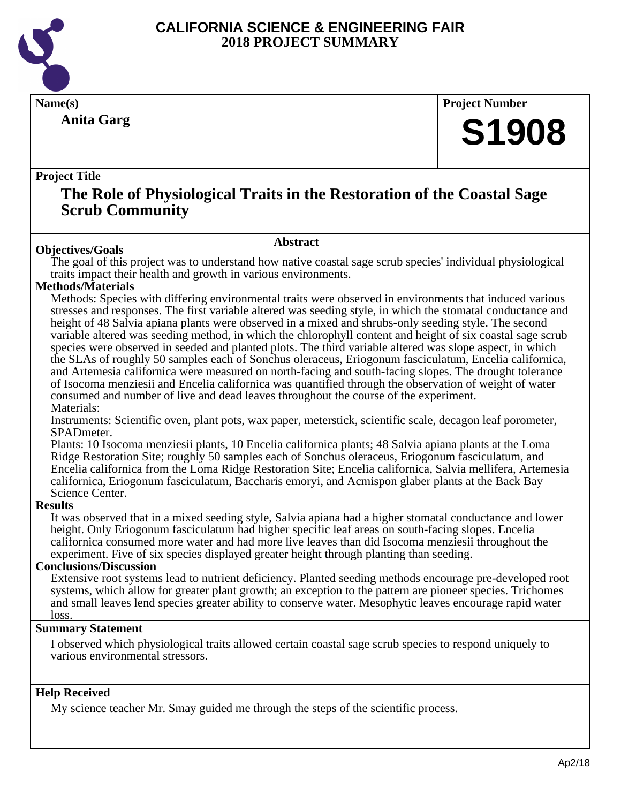

**Anita Garg**

**Name(s) Project Number**

# **S1908**

#### **Project Title**

### **The Role of Physiological Traits in the Restoration of the Coastal Sage Scrub Community**

#### **Abstract**

**Objectives/Goals** The goal of this project was to understand how native coastal sage scrub species' individual physiological traits impact their health and growth in various environments.

#### **Methods/Materials**

Methods: Species with differing environmental traits were observed in environments that induced various stresses and responses. The first variable altered was seeding style, in which the stomatal conductance and height of 48 Salvia apiana plants were observed in a mixed and shrubs-only seeding style. The second variable altered was seeding method, in which the chlorophyll content and height of six coastal sage scrub species were observed in seeded and planted plots. The third variable altered was slope aspect, in which the SLAs of roughly 50 samples each of Sonchus oleraceus, Eriogonum fasciculatum, Encelia californica, and Artemesia californica were measured on north-facing and south-facing slopes. The drought tolerance of Isocoma menziesii and Encelia californica was quantified through the observation of weight of water consumed and number of live and dead leaves throughout the course of the experiment. Materials:

Instruments: Scientific oven, plant pots, wax paper, meterstick, scientific scale, decagon leaf porometer, SPADmeter.

Plants: 10 Isocoma menziesii plants, 10 Encelia californica plants; 48 Salvia apiana plants at the Loma Ridge Restoration Site; roughly 50 samples each of Sonchus oleraceus, Eriogonum fasciculatum, and Encelia californica from the Loma Ridge Restoration Site; Encelia californica, Salvia mellifera, Artemesia californica, Eriogonum fasciculatum, Baccharis emoryi, and Acmispon glaber plants at the Back Bay Science Center.

#### **Results**

It was observed that in a mixed seeding style, Salvia apiana had a higher stomatal conductance and lower height. Only Eriogonum fasciculatum had higher specific leaf areas on south-facing slopes. Encelia californica consumed more water and had more live leaves than did Isocoma menziesii throughout the experiment. Five of six species displayed greater height through planting than seeding.

#### **Conclusions/Discussion**

Extensive root systems lead to nutrient deficiency. Planted seeding methods encourage pre-developed root systems, which allow for greater plant growth; an exception to the pattern are pioneer species. Trichomes and small leaves lend species greater ability to conserve water. Mesophytic leaves encourage rapid water loss.

#### **Summary Statement**

I observed which physiological traits allowed certain coastal sage scrub species to respond uniquely to various environmental stressors.

#### **Help Received**

My science teacher Mr. Smay guided me through the steps of the scientific process.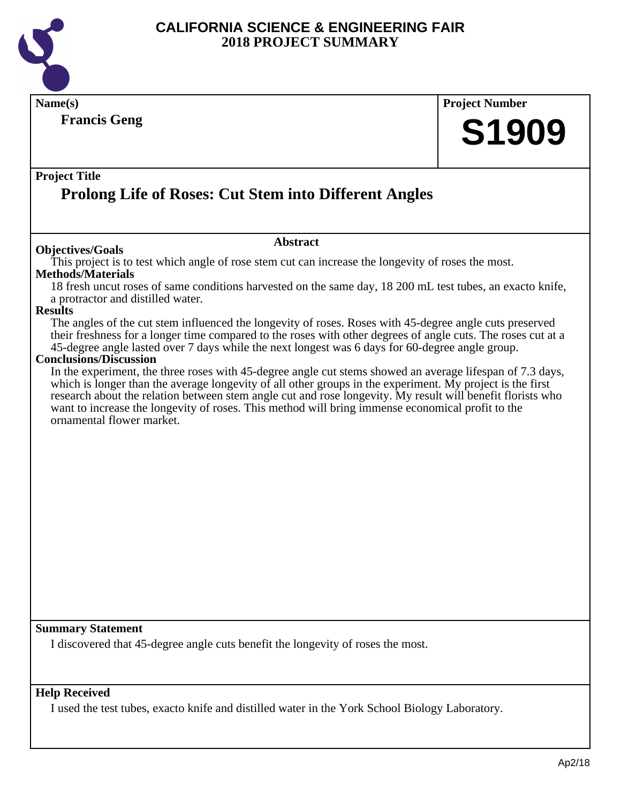

**Name(s) Project Number Project Title Abstract Francis Geng Prolong Life of Roses: Cut Stem into Different Angles S1909 Objectives/Goals** This project is to test which angle of rose stem cut can increase the longevity of roses the most. **Methods/Materials** 18 fresh uncut roses of same conditions harvested on the same day, 18 200 mL test tubes, an exacto knife, a protractor and distilled water. **Results** The angles of the cut stem influenced the longevity of roses. Roses with 45-degree angle cuts preserved their freshness for a longer time compared to the roses with other degrees of angle cuts. The roses cut at a 45-degree angle lasted over 7 days while the next longest was 6 days for 60-degree angle group. **Conclusions/Discussion** In the experiment, the three roses with 45-degree angle cut stems showed an average lifespan of 7.3 days, which is longer than the average longevity of all other groups in the experiment. My project is the first research about the relation between stem angle cut and rose longevity. My result will benefit florists who want to increase the longevity of roses. This method will bring immense economical profit to the ornamental flower market.

#### **Summary Statement**

I discovered that 45-degree angle cuts benefit the longevity of roses the most.

#### **Help Received**

I used the test tubes, exacto knife and distilled water in the York School Biology Laboratory.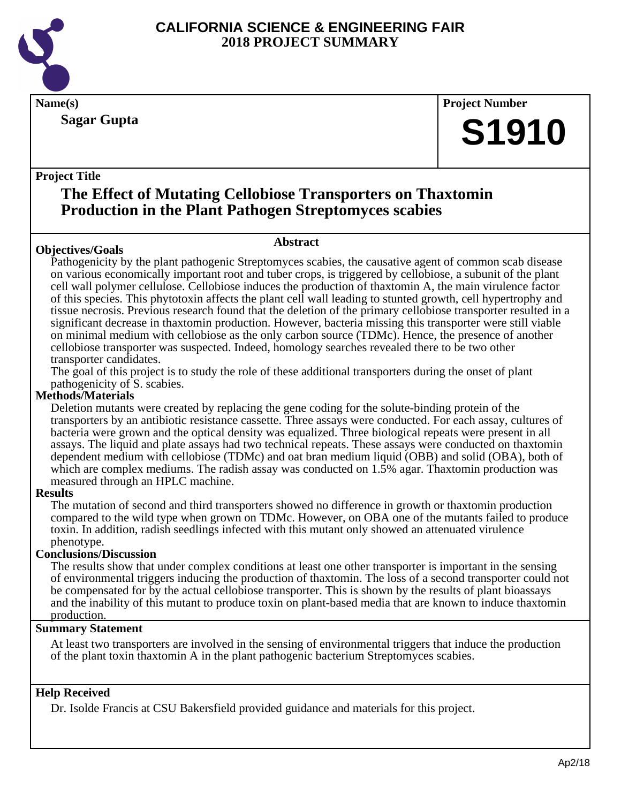

**Sagar Gupta**

**Name(s) Project Number**

# **S1910**

#### **Project Title**

## **The Effect of Mutating Cellobiose Transporters on Thaxtomin Production in the Plant Pathogen Streptomyces scabies**

#### **Objectives/Goals**

#### **Abstract**

Pathogenicity by the plant pathogenic Streptomyces scabies, the causative agent of common scab disease on various economically important root and tuber crops, is triggered by cellobiose, a subunit of the plant cell wall polymer cellulose. Cellobiose induces the production of thaxtomin A, the main virulence factor of this species. This phytotoxin affects the plant cell wall leading to stunted growth, cell hypertrophy and tissue necrosis. Previous research found that the deletion of the primary cellobiose transporter resulted in a significant decrease in thaxtomin production. However, bacteria missing this transporter were still viable on minimal medium with cellobiose as the only carbon source (TDMc). Hence, the presence of another cellobiose transporter was suspected. Indeed, homology searches revealed there to be two other transporter candidates.

The goal of this project is to study the role of these additional transporters during the onset of plant pathogenicity of S. scabies.

#### **Methods/Materials**

Deletion mutants were created by replacing the gene coding for the solute-binding protein of the transporters by an antibiotic resistance cassette. Three assays were conducted. For each assay, cultures of bacteria were grown and the optical density was equalized. Three biological repeats were present in all assays. The liquid and plate assays had two technical repeats. These assays were conducted on thaxtomin dependent medium with cellobiose (TDMc) and oat bran medium liquid (OBB) and solid (OBA), both of which are complex mediums. The radish assay was conducted on 1.5% agar. Thaxtomin production was measured through an HPLC machine.

#### **Results**

The mutation of second and third transporters showed no difference in growth or thaxtomin production compared to the wild type when grown on TDMc. However, on OBA one of the mutants failed to produce toxin. In addition, radish seedlings infected with this mutant only showed an attenuated virulence phenotype.

#### **Conclusions/Discussion**

The results show that under complex conditions at least one other transporter is important in the sensing of environmental triggers inducing the production of thaxtomin. The loss of a second transporter could not be compensated for by the actual cellobiose transporter. This is shown by the results of plant bioassays and the inability of this mutant to produce toxin on plant-based media that are known to induce thaxtomin production.

#### **Summary Statement**

At least two transporters are involved in the sensing of environmental triggers that induce the production of the plant toxin thaxtomin A in the plant pathogenic bacterium Streptomyces scabies.

#### **Help Received**

Dr. Isolde Francis at CSU Bakersfield provided guidance and materials for this project.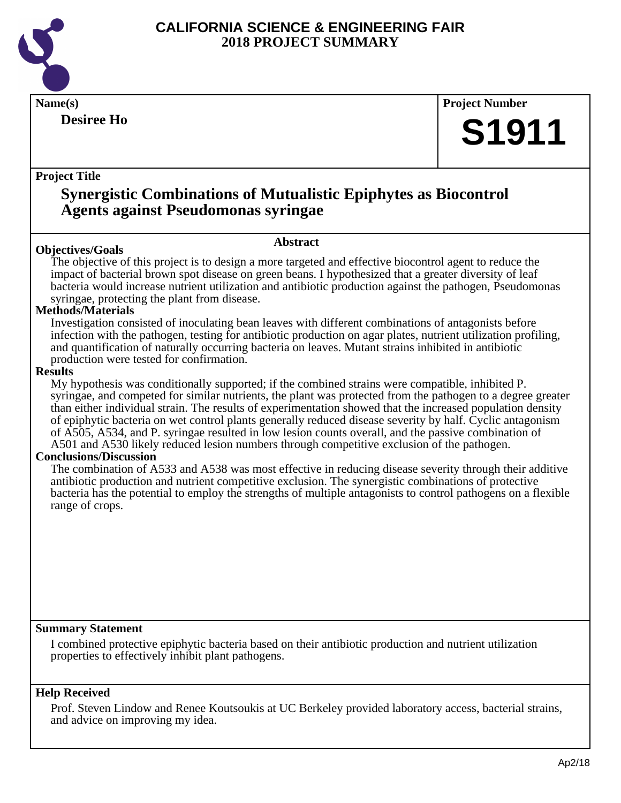

# **Desiree Ho**

# **Name(s) Project Number S1911**

#### **Project Title**

## **Synergistic Combinations of Mutualistic Epiphytes as Biocontrol Agents against Pseudomonas syringae**

#### **Objectives/Goals**

The objective of this project is to design a more targeted and effective biocontrol agent to reduce the impact of bacterial brown spot disease on green beans. I hypothesized that a greater diversity of leaf bacteria would increase nutrient utilization and antibiotic production against the pathogen, Pseudomonas

**Abstract**

syringae, protecting the plant from disease.

#### **Methods/Materials**

Investigation consisted of inoculating bean leaves with different combinations of antagonists before infection with the pathogen, testing for antibiotic production on agar plates, nutrient utilization profiling, and quantification of naturally occurring bacteria on leaves. Mutant strains inhibited in antibiotic production were tested for confirmation.

#### **Results**

My hypothesis was conditionally supported; if the combined strains were compatible, inhibited P. syringae, and competed for similar nutrients, the plant was protected from the pathogen to a degree greater than either individual strain. The results of experimentation showed that the increased population density of epiphytic bacteria on wet control plants generally reduced disease severity by half. Cyclic antagonism of A505, A534, and P. syringae resulted in low lesion counts overall, and the passive combination of A501 and A530 likely reduced lesion numbers through competitive exclusion of the pathogen.

#### **Conclusions/Discussion**

The combination of A533 and A538 was most effective in reducing disease severity through their additive antibiotic production and nutrient competitive exclusion. The synergistic combinations of protective bacteria has the potential to employ the strengths of multiple antagonists to control pathogens on a flexible range of crops.

#### **Summary Statement**

I combined protective epiphytic bacteria based on their antibiotic production and nutrient utilization properties to effectively inhibit plant pathogens.

#### **Help Received**

Prof. Steven Lindow and Renee Koutsoukis at UC Berkeley provided laboratory access, bacterial strains, and advice on improving my idea.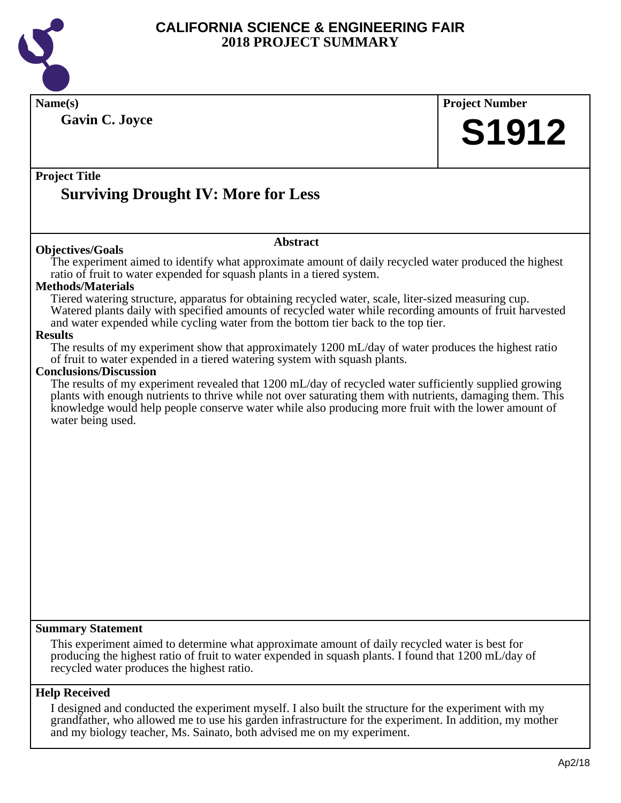

**Name(s) Project Number Project Title Abstract Summary Statement Help Received Gavin C. Joyce Surviving Drought IV: More for Less S1912 Objectives/Goals** The experiment aimed to identify what approximate amount of daily recycled water produced the highest ratio of fruit to water expended for squash plants in a tiered system. **Methods/Materials** Tiered watering structure, apparatus for obtaining recycled water, scale, liter-sized measuring cup. Watered plants daily with specified amounts of recycled water while recording amounts of fruit harvested and water expended while cycling water from the bottom tier back to the top tier. **Results** The results of my experiment show that approximately 1200 mL/day of water produces the highest ratio of fruit to water expended in a tiered watering system with squash plants. **Conclusions/Discussion** The results of my experiment revealed that 1200 mL/day of recycled water sufficiently supplied growing plants with enough nutrients to thrive while not over saturating them with nutrients, damaging them. This knowledge would help people conserve water while also producing more fruit with the lower amount of water being used. This experiment aimed to determine what approximate amount of daily recycled water is best for producing the highest ratio of fruit to water expended in squash plants. I found that 1200 mL/day of recycled water produces the highest ratio.

I designed and conducted the experiment myself. I also built the structure for the experiment with my grandfather, who allowed me to use his garden infrastructure for the experiment. In addition, my mother and my biology teacher, Ms. Sainato, both advised me on my experiment.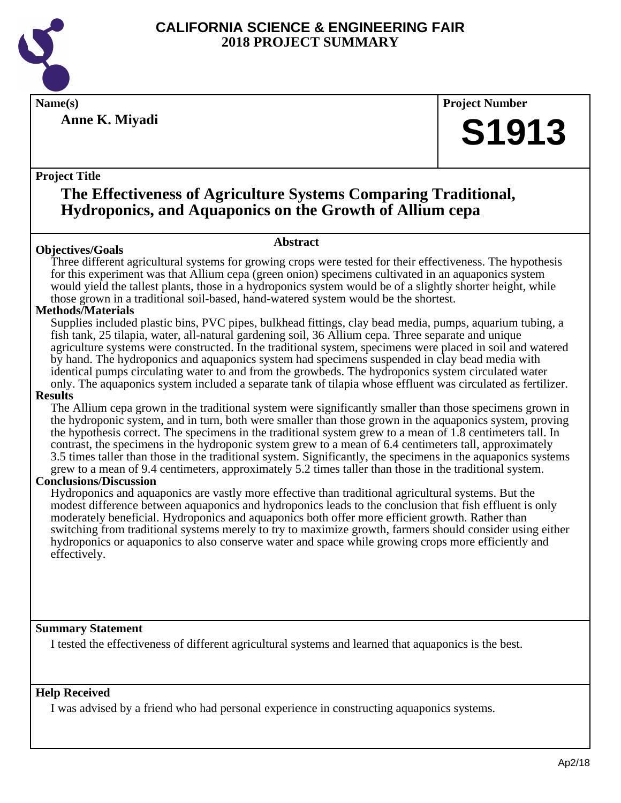

**Anne K. Miyadi**

**Name(s) Project Number**

# **S1913**

#### **Project Title**

# **The Effectiveness of Agriculture Systems Comparing Traditional, Hydroponics, and Aquaponics on the Growth of Allium cepa**

#### **Objectives/Goals**

**Abstract**

Three different agricultural systems for growing crops were tested for their effectiveness. The hypothesis for this experiment was that Allium cepa (green onion) specimens cultivated in an aquaponics system would yield the tallest plants, those in a hydroponics system would be of a slightly shorter height, while those grown in a traditional soil-based, hand-watered system would be the shortest.

#### **Methods/Materials**

Supplies included plastic bins, PVC pipes, bulkhead fittings, clay bead media, pumps, aquarium tubing, a fish tank, 25 tilapia, water, all-natural gardening soil, 36 Allium cepa. Three separate and unique agriculture systems were constructed. In the traditional system, specimens were placed in soil and watered by hand. The hydroponics and aquaponics system had specimens suspended in clay bead media with identical pumps circulating water to and from the growbeds. The hydroponics system circulated water only. The aquaponics system included a separate tank of tilapia whose effluent was circulated as fertilizer.

#### **Results**

The Allium cepa grown in the traditional system were significantly smaller than those specimens grown in the hydroponic system, and in turn, both were smaller than those grown in the aquaponics system, proving the hypothesis correct. The specimens in the traditional system grew to a mean of 1.8 centimeters tall. In contrast, the specimens in the hydroponic system grew to a mean of 6.4 centimeters tall, approximately 3.5 times taller than those in the traditional system. Significantly, the specimens in the aquaponics systems grew to a mean of 9.4 centimeters, approximately 5.2 times taller than those in the traditional system.

#### **Conclusions/Discussion**

Hydroponics and aquaponics are vastly more effective than traditional agricultural systems. But the modest difference between aquaponics and hydroponics leads to the conclusion that fish effluent is only moderately beneficial. Hydroponics and aquaponics both offer more efficient growth. Rather than switching from traditional systems merely to try to maximize growth, farmers should consider using either hydroponics or aquaponics to also conserve water and space while growing crops more efficiently and effectively.

#### **Summary Statement**

I tested the effectiveness of different agricultural systems and learned that aquaponics is the best.

#### **Help Received**

I was advised by a friend who had personal experience in constructing aquaponics systems.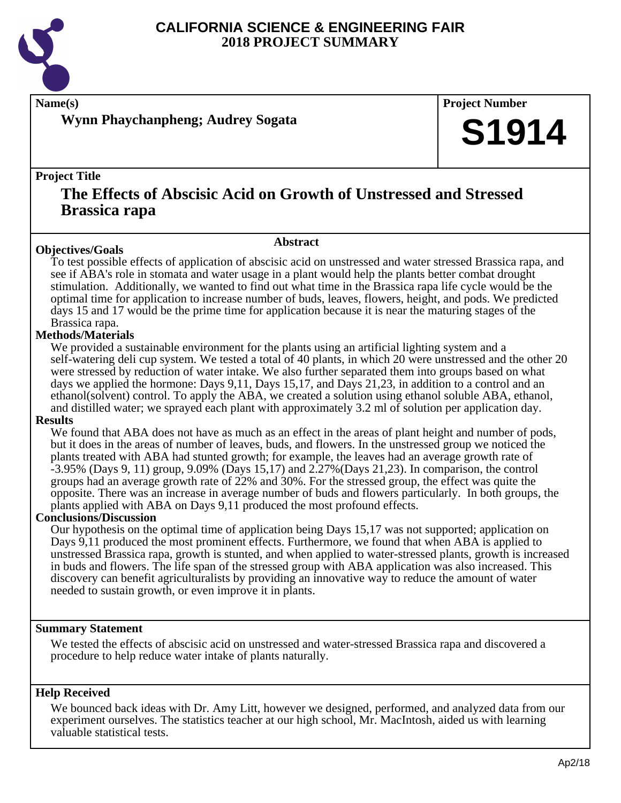

**Wynn Phaychanpheng; Audrey Sogata**

**Name(s) Project Number**

# **S1914**

#### **Project Title**

### **The Effects of Abscisic Acid on Growth of Unstressed and Stressed Brassica rapa**

### **Abstract**

**Objectives/Goals** To test possible effects of application of abscisic acid on unstressed and water stressed Brassica rapa, and see if ABA's role in stomata and water usage in a plant would help the plants better combat drought stimulation. Additionally, we wanted to find out what time in the Brassica rapa life cycle would be the optimal time for application to increase number of buds, leaves, flowers, height, and pods. We predicted days 15 and 17 would be the prime time for application because it is near the maturing stages of the Brassica rapa.

#### **Methods/Materials**

We provided a sustainable environment for the plants using an artificial lighting system and a self-watering deli cup system. We tested a total of 40 plants, in which 20 were unstressed and the other 20 were stressed by reduction of water intake. We also further separated them into groups based on what days we applied the hormone: Days 9,11, Days 15,17, and Days 21,23, in addition to a control and an ethanol(solvent) control. To apply the ABA, we created a solution using ethanol soluble ABA, ethanol, and distilled water; we sprayed each plant with approximately 3.2 ml of solution per application day.

#### **Results**

We found that ABA does not have as much as an effect in the areas of plant height and number of pods, but it does in the areas of number of leaves, buds, and flowers. In the unstressed group we noticed the plants treated with ABA had stunted growth; for example, the leaves had an average growth rate of -3.95% (Days 9, 11) group, 9.09% (Days 15,17) and 2.27%(Days 21,23). In comparison, the control groups had an average growth rate of 22% and 30%. For the stressed group, the effect was quite the opposite. There was an increase in average number of buds and flowers particularly. In both groups, the plants applied with ABA on Days 9,11 produced the most profound effects.

#### **Conclusions/Discussion**

Our hypothesis on the optimal time of application being Days 15,17 was not supported; application on Days 9,11 produced the most prominent effects. Furthermore, we found that when ABA is applied to unstressed Brassica rapa, growth is stunted, and when applied to water-stressed plants, growth is increased in buds and flowers. The life span of the stressed group with ABA application was also increased. This discovery can benefit agriculturalists by providing an innovative way to reduce the amount of water needed to sustain growth, or even improve it in plants.

#### **Summary Statement**

We tested the effects of abscisic acid on unstressed and water-stressed Brassica rapa and discovered a procedure to help reduce water intake of plants naturally.

#### **Help Received**

We bounced back ideas with Dr. Amy Litt, however we designed, performed, and analyzed data from our experiment ourselves. The statistics teacher at our high school, Mr. MacIntosh, aided us with learning valuable statistical tests.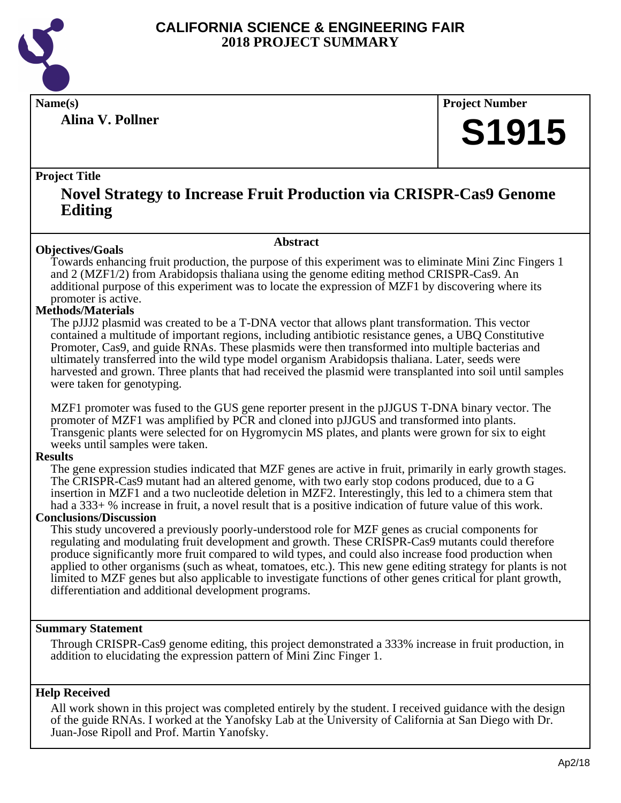

**Alina V. Pollner**

**Name(s) Project Number**

# **S1915**

#### **Project Title**

### **Novel Strategy to Increase Fruit Production via CRISPR-Cas9 Genome Editing**

#### **Abstract**

**Objectives/Goals** Towards enhancing fruit production, the purpose of this experiment was to eliminate Mini Zinc Fingers 1 and 2 (MZF1/2) from Arabidopsis thaliana using the genome editing method CRISPR-Cas9. An additional purpose of this experiment was to locate the expression of MZF1 by discovering where its promoter is active.

#### **Methods/Materials**

The pJJJ2 plasmid was created to be a T-DNA vector that allows plant transformation. This vector contained a multitude of important regions, including antibiotic resistance genes, a UBQ Constitutive Promoter, Cas9, and guide RNAs. These plasmids were then transformed into multiple bacterias and ultimately transferred into the wild type model organism Arabidopsis thaliana. Later, seeds were harvested and grown. Three plants that had received the plasmid were transplanted into soil until samples were taken for genotyping.

MZF1 promoter was fused to the GUS gene reporter present in the pJJGUS T-DNA binary vector. The promoter of MZF1 was amplified by PCR and cloned into pJJGUS and transformed into plants. Transgenic plants were selected for on Hygromycin MS plates, and plants were grown for six to eight weeks until samples were taken.

#### **Results**

The gene expression studies indicated that MZF genes are active in fruit, primarily in early growth stages. The CRISPR-Cas9 mutant had an altered genome, with two early stop codons produced, due to a G insertion in MZF1 and a two nucleotide deletion in MZF2. Interestingly, this led to a chimera stem that had a 333+ % increase in fruit, a novel result that is a positive indication of future value of this work.

#### **Conclusions/Discussion**

This study uncovered a previously poorly-understood role for MZF genes as crucial components for regulating and modulating fruit development and growth. These CRISPR-Cas9 mutants could therefore produce significantly more fruit compared to wild types, and could also increase food production when applied to other organisms (such as wheat, tomatoes, etc.). This new gene editing strategy for plants is not limited to MZF genes but also applicable to investigate functions of other genes critical for plant growth, differentiation and additional development programs.

#### **Summary Statement**

Through CRISPR-Cas9 genome editing, this project demonstrated a 333% increase in fruit production, in addition to elucidating the expression pattern of Mini Zinc Finger 1.

#### **Help Received**

All work shown in this project was completed entirely by the student. I received guidance with the design of the guide RNAs. I worked at the Yanofsky Lab at the University of California at San Diego with Dr. Juan-Jose Ripoll and Prof. Martin Yanofsky.